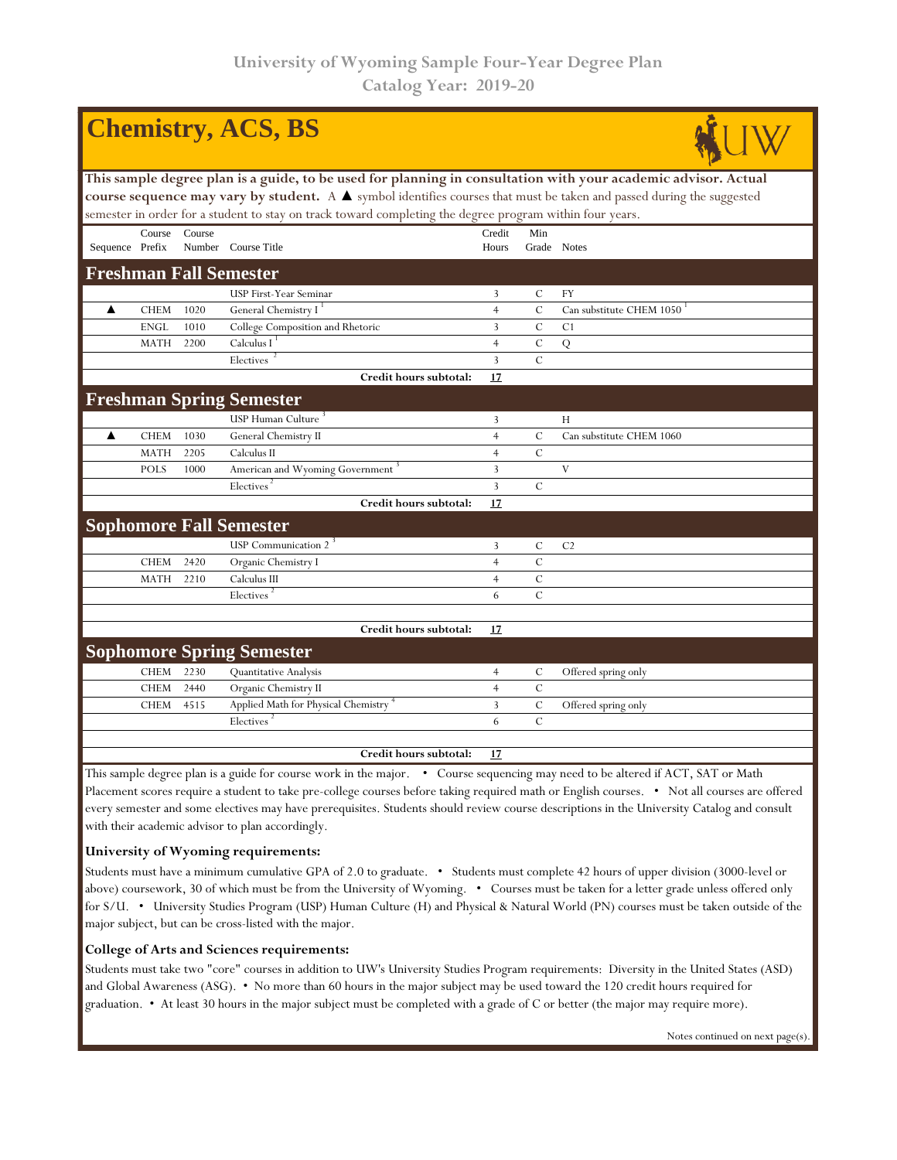|                                                                                                                       |                                                                                                                                 |        | <b>Chemistry, ACS, BS</b>                                                                                |                |               |                          |  |  |  |  |  |
|-----------------------------------------------------------------------------------------------------------------------|---------------------------------------------------------------------------------------------------------------------------------|--------|----------------------------------------------------------------------------------------------------------|----------------|---------------|--------------------------|--|--|--|--|--|
| This sample degree plan is a guide, to be used for planning in consultation with your academic advisor. Actual        |                                                                                                                                 |        |                                                                                                          |                |               |                          |  |  |  |  |  |
| course sequence may vary by student. A A symbol identifies courses that must be taken and passed during the suggested |                                                                                                                                 |        |                                                                                                          |                |               |                          |  |  |  |  |  |
|                                                                                                                       |                                                                                                                                 |        | semester in order for a student to stay on track toward completing the degree program within four years. |                |               |                          |  |  |  |  |  |
|                                                                                                                       | Course                                                                                                                          | Course |                                                                                                          | Credit         | Min           |                          |  |  |  |  |  |
| Sequence Prefix                                                                                                       |                                                                                                                                 |        | Number Course Title                                                                                      | Hours          |               | Grade Notes              |  |  |  |  |  |
|                                                                                                                       |                                                                                                                                 |        | <b>Freshman Fall Semester</b>                                                                            |                |               |                          |  |  |  |  |  |
|                                                                                                                       |                                                                                                                                 |        | USP First-Year Seminar                                                                                   | 3              | $\mathcal{C}$ | FY                       |  |  |  |  |  |
| ▲                                                                                                                     | <b>CHEM</b>                                                                                                                     | 1020   | General Chemistry I <sup>1</sup>                                                                         | $\overline{4}$ | $\mathcal{C}$ | Can substitute CHEM 1050 |  |  |  |  |  |
|                                                                                                                       | <b>ENGL</b>                                                                                                                     | 1010   | College Composition and Rhetoric                                                                         | $\overline{3}$ | $\cal C$      | C <sub>1</sub>           |  |  |  |  |  |
|                                                                                                                       | <b>MATH</b>                                                                                                                     | 2200   | Calculus $I1$                                                                                            | $\overline{4}$ | $\cal C$      | Q                        |  |  |  |  |  |
|                                                                                                                       |                                                                                                                                 |        | Electives                                                                                                | 3              | $\mathcal{C}$ |                          |  |  |  |  |  |
|                                                                                                                       |                                                                                                                                 |        | Credit hours subtotal:                                                                                   | 17             |               |                          |  |  |  |  |  |
|                                                                                                                       |                                                                                                                                 |        | <b>Freshman Spring Semester</b>                                                                          |                |               |                          |  |  |  |  |  |
|                                                                                                                       |                                                                                                                                 |        | USP Human Culture <sup>3</sup>                                                                           | 3              |               | H                        |  |  |  |  |  |
| ▲                                                                                                                     | <b>CHEM</b>                                                                                                                     | 1030   | General Chemistry II                                                                                     | $\overline{4}$ | $\mathcal{C}$ | Can substitute CHEM 1060 |  |  |  |  |  |
|                                                                                                                       | <b>MATH</b>                                                                                                                     | 2205   | Calculus II                                                                                              | $\overline{4}$ | $\mathcal{C}$ |                          |  |  |  |  |  |
|                                                                                                                       | <b>POLS</b>                                                                                                                     | 1000   | American and Wyoming Government                                                                          | 3              |               | V                        |  |  |  |  |  |
|                                                                                                                       |                                                                                                                                 |        | Electives <sup>2</sup>                                                                                   | $\overline{3}$ | $\mathcal{C}$ |                          |  |  |  |  |  |
|                                                                                                                       |                                                                                                                                 |        | Credit hours subtotal:                                                                                   | 17             |               |                          |  |  |  |  |  |
|                                                                                                                       |                                                                                                                                 |        | <b>Sophomore Fall Semester</b>                                                                           |                |               |                          |  |  |  |  |  |
|                                                                                                                       |                                                                                                                                 |        | USP Communication 2 <sup>3</sup>                                                                         | 3              | $\mathcal{C}$ | C <sub>2</sub>           |  |  |  |  |  |
|                                                                                                                       | <b>CHEM</b>                                                                                                                     | 2420   | Organic Chemistry I                                                                                      | $\overline{4}$ | $\mathcal{C}$ |                          |  |  |  |  |  |
|                                                                                                                       | <b>MATH</b>                                                                                                                     | 2210   | Calculus III                                                                                             | $\overline{4}$ | $\mathcal{C}$ |                          |  |  |  |  |  |
|                                                                                                                       |                                                                                                                                 |        | Electives <sup>2</sup>                                                                                   | 6              | $\mathcal{C}$ |                          |  |  |  |  |  |
|                                                                                                                       |                                                                                                                                 |        |                                                                                                          |                |               |                          |  |  |  |  |  |
|                                                                                                                       |                                                                                                                                 |        | Credit hours subtotal:                                                                                   | 17             |               |                          |  |  |  |  |  |
|                                                                                                                       |                                                                                                                                 |        | <b>Sophomore Spring Semester</b>                                                                         |                |               |                          |  |  |  |  |  |
|                                                                                                                       | <b>CHEM</b>                                                                                                                     | 2230   | Quantitative Analysis                                                                                    | $\overline{4}$ | C             | Offered spring only      |  |  |  |  |  |
|                                                                                                                       | <b>CHEM</b>                                                                                                                     | 2440   | Organic Chemistry II                                                                                     | $\overline{4}$ | $\mathcal{C}$ |                          |  |  |  |  |  |
|                                                                                                                       | <b>CHEM</b>                                                                                                                     | 4515   | Applied Math for Physical Chemistry <sup>+</sup>                                                         | 3              | $\mathcal{C}$ | Offered spring only      |  |  |  |  |  |
|                                                                                                                       |                                                                                                                                 |        | Electives <sup>2</sup>                                                                                   | 6              | $\mathcal{C}$ |                          |  |  |  |  |  |
|                                                                                                                       |                                                                                                                                 |        | Credit hours subtotal:                                                                                   | 17             |               |                          |  |  |  |  |  |
|                                                                                                                       | This sample degree plan is a guide for course work in the major. • Course sequencing may need to be altered if ACT, SAT or Math |        |                                                                                                          |                |               |                          |  |  |  |  |  |

Placement scores require a student to take pre-college courses before taking required math or English courses. • Not all courses are offered every semester and some electives may have prerequisites. Students should review course descriptions in the University Catalog and consult with their academic advisor to plan accordingly.

## **University of Wyoming requirements:**

Students must have a minimum cumulative GPA of 2.0 to graduate. • Students must complete 42 hours of upper division (3000-level or above) coursework, 30 of which must be from the University of Wyoming. • Courses must be taken for a letter grade unless offered only for S/U. • University Studies Program (USP) Human Culture (H) and Physical & Natural World (PN) courses must be taken outside of the major subject, but can be cross-listed with the major.

## **College of Arts and Sciences requirements:**

Students must take two "core" courses in addition to UW's University Studies Program requirements: Diversity in the United States (ASD) and Global Awareness (ASG). • No more than 60 hours in the major subject may be used toward the 120 credit hours required for graduation. • At least 30 hours in the major subject must be completed with a grade of C or better (the major may require more).